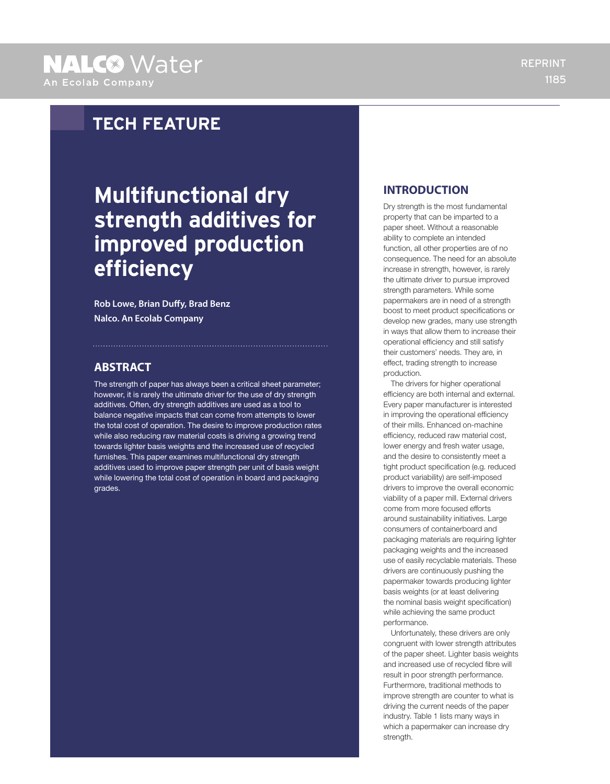# **Multifunctional dry strength additives for improved production efficiency**

**Rob Lowe, Brian Duffy, Brad Benz Nalco. An Ecolab Company**

### **ABSTRACT**

The strength of paper has always been a critical sheet parameter; however, it is rarely the ultimate driver for the use of dry strength additives. Often, dry strength additives are used as a tool to balance negative impacts that can come from attempts to lower the total cost of operation. The desire to improve production rates while also reducing raw material costs is driving a growing trend towards lighter basis weights and the increased use of recycled furnishes. This paper examines multifunctional dry strength additives used to improve paper strength per unit of basis weight while lowering the total cost of operation in board and packaging grades.

#### **INTRODUCTION**

Dry strength is the most fundamental property that can be imparted to a paper sheet. Without a reasonable ability to complete an intended function, all other properties are of no consequence. The need for an absolute increase in strength, however, is rarely the ultimate driver to pursue improved strength parameters. While some papermakers are in need of a strength boost to meet product specifications or develop new grades, many use strength in ways that allow them to increase their operational efficiency and still satisfy their customers' needs. They are, in effect, trading strength to increase production.

The drivers for higher operational efficiency are both internal and external. Every paper manufacturer is interested in improving the operational efficiency of their mills. Enhanced on-machine efficiency, reduced raw material cost, lower energy and fresh water usage, and the desire to consistently meet a tight product specification (e.g. reduced product variability) are self-imposed drivers to improve the overall economic viability of a paper mill. External drivers come from more focused efforts around sustainability initiatives. Large consumers of containerboard and packaging materials are requiring lighter packaging weights and the increased use of easily recyclable materials. These drivers are continuously pushing the papermaker towards producing lighter basis weights (or at least delivering the nominal basis weight specification) while achieving the same product performance.

Unfortunately, these drivers are only congruent with lower strength attributes of the paper sheet. Lighter basis weights and increased use of recycled fibre will result in poor strength performance. Furthermore, traditional methods to improve strength are counter to what is driving the current needs of the paper industry. Table 1 lists many ways in which a papermaker can increase dry strength.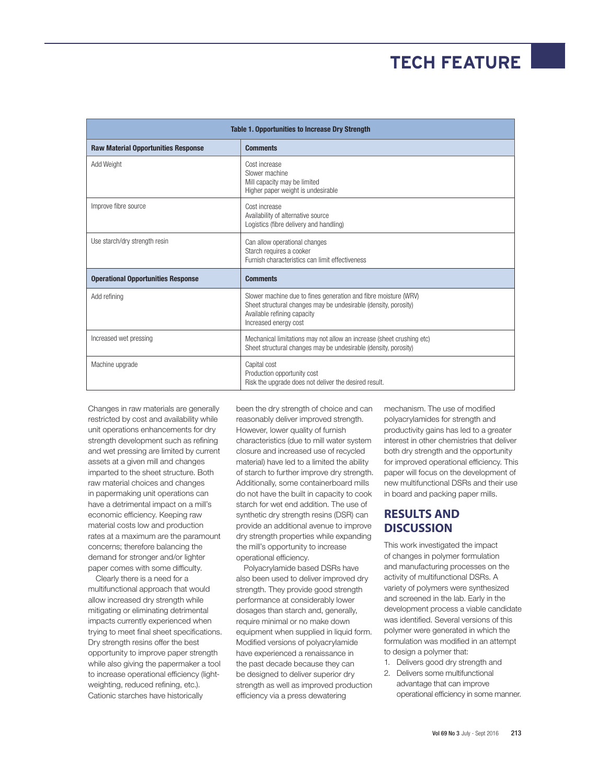| <b>Table 1. Opportunities to Increase Dry Strength</b> |                                                                                                                                                                                            |  |  |  |
|--------------------------------------------------------|--------------------------------------------------------------------------------------------------------------------------------------------------------------------------------------------|--|--|--|
| <b>Raw Material Opportunities Response</b>             | <b>Comments</b>                                                                                                                                                                            |  |  |  |
| Add Weight                                             | Cost increase<br>Slower machine<br>Mill capacity may be limited<br>Higher paper weight is undesirable                                                                                      |  |  |  |
| Improve fibre source                                   | Cost increase<br>Availability of alternative source<br>Logistics (fibre delivery and handling)                                                                                             |  |  |  |
| Use starch/dry strength resin                          | Can allow operational changes<br>Starch requires a cooker<br>Furnish characteristics can limit effectiveness                                                                               |  |  |  |
| <b>Operational Opportunities Response</b>              | <b>Comments</b>                                                                                                                                                                            |  |  |  |
| Add refining                                           | Slower machine due to fines generation and fibre moisture (WRV)<br>Sheet structural changes may be undesirable (density, porosity)<br>Available refining capacity<br>Increased energy cost |  |  |  |
| Increased wet pressing                                 | Mechanical limitations may not allow an increase (sheet crushing etc)<br>Sheet structural changes may be undesirable (density, porosity)                                                   |  |  |  |
| Machine upgrade                                        | Capital cost<br>Production opportunity cost<br>Risk the upgrade does not deliver the desired result.                                                                                       |  |  |  |

Changes in raw materials are generally restricted by cost and availability while unit operations enhancements for dry strength development such as refining and wet pressing are limited by current assets at a given mill and changes imparted to the sheet structure. Both raw material choices and changes in papermaking unit operations can have a detrimental impact on a mill's economic efficiency. Keeping raw material costs low and production rates at a maximum are the paramount concerns; therefore balancing the demand for stronger and/or lighter paper comes with some difficulty.

Clearly there is a need for a multifunctional approach that would allow increased dry strength while mitigating or eliminating detrimental impacts currently experienced when trying to meet final sheet specifications. Dry strength resins offer the best opportunity to improve paper strength while also giving the papermaker a tool to increase operational efficiency (lightweighting, reduced refining, etc.). Cationic starches have historically

been the dry strength of choice and can reasonably deliver improved strength. However, lower quality of furnish characteristics (due to mill water system closure and increased use of recycled material) have led to a limited the ability of starch to further improve dry strength. Additionally, some containerboard mills do not have the built in capacity to cook starch for wet end addition. The use of synthetic dry strength resins (DSR) can provide an additional avenue to improve dry strength properties while expanding the mill's opportunity to increase operational efficiency.

Polyacrylamide based DSRs have also been used to deliver improved dry strength. They provide good strength performance at considerably lower dosages than starch and, generally, require minimal or no make down equipment when supplied in liquid form. Modified versions of polyacrylamide have experienced a renaissance in the past decade because they can be designed to deliver superior dry strength as well as improved production efficiency via a press dewatering

mechanism. The use of modified polyacrylamides for strength and productivity gains has led to a greater interest in other chemistries that deliver both dry strength and the opportunity for improved operational efficiency. This paper will focus on the development of new multifunctional DSRs and their use in board and packing paper mills.

### **RESULTS AND DISCUSSION**

This work investigated the impact of changes in polymer formulation and manufacturing processes on the activity of multifunctional DSRs. A variety of polymers were synthesized and screened in the lab. Early in the development process a viable candidate was identified. Several versions of this polymer were generated in which the formulation was modified in an attempt to design a polymer that:

- 1. Delivers good dry strength and
- 2. Delivers some multifunctional advantage that can improve operational efficiency in some manner.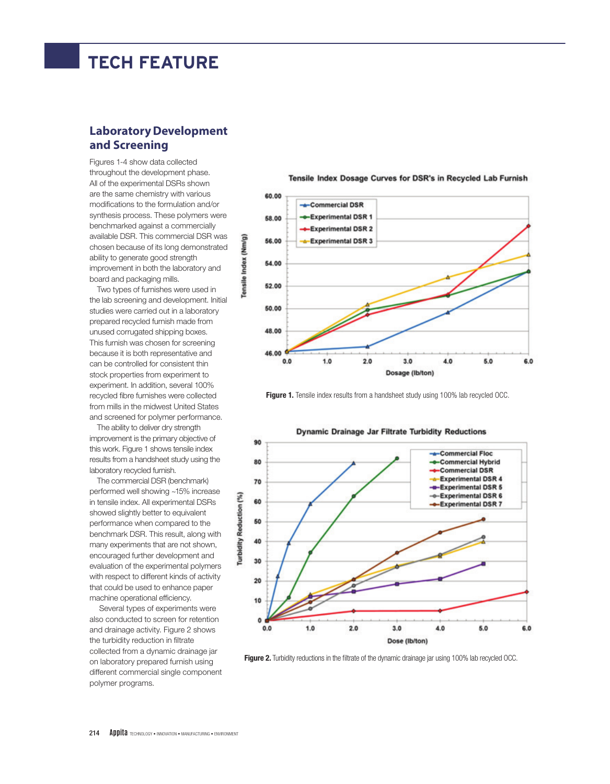### **Laboratory Development and Screening**

Figures 1-4 show data collected throughout the development phase. All of the experimental DSRs shown are the same chemistry with various modifications to the formulation and/or synthesis process. These polymers were benchmarked against a commercially available DSR. This commercial DSR was chosen because of its long demonstrated ability to generate good strength improvement in both the laboratory and board and packaging mills.

Two types of furnishes were used in the lab screening and development. Initial studies were carried out in a laboratory prepared recycled furnish made from unused corrugated shipping boxes. This furnish was chosen for screening because it is both representative and can be controlled for consistent thin stock properties from experiment to experiment. In addition, several 100% recycled fibre furnishes were collected from mills in the midwest United States and screened for polymer performance.

The ability to deliver dry strength improvement is the primary objective of this work. Figure 1 shows tensile index results from a handsheet study using the laboratory recycled furnish.

The commercial DSR (benchmark) performed well showing ~15% increase in tensile index. All experimental DSRs showed slightly better to equivalent performance when compared to the benchmark DSR. This result, along with many experiments that are not shown, encouraged further development and evaluation of the experimental polymers with respect to different kinds of activity that could be used to enhance paper machine operational efficiency.

 Several types of experiments were also conducted to screen for retention and drainage activity. Figure 2 shows the turbidity reduction in filtrate collected from a dynamic drainage jar on laboratory prepared furnish using different commercial single component polymer programs.

Tensile Index Dosage Curves for DSR's in Recycled Lab Furnish



**Figure 1.** Tensile index results from a handsheet study using 100% lab recycled OCC.



**Figure 2.** Turbidity reductions in the filtrate of the dynamic drainage jar using 100% lab recycled OCC.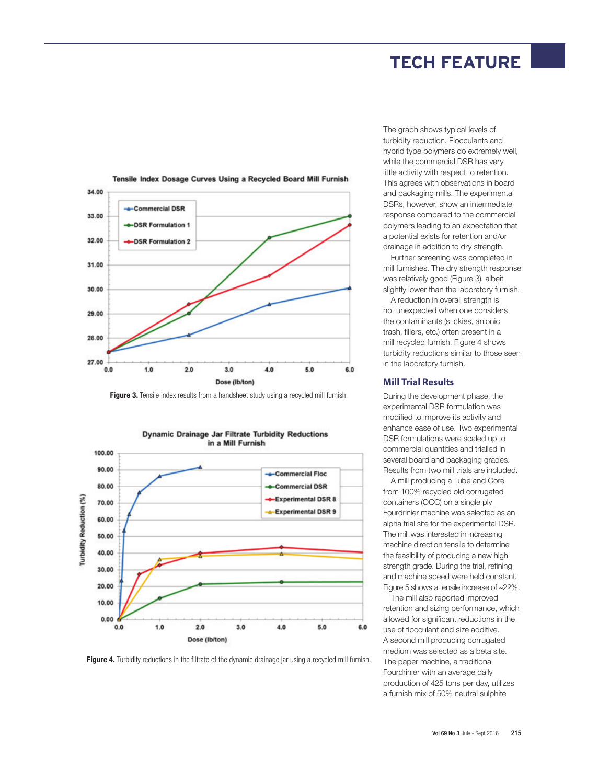

#### Tensile Index Dosage Curves Using a Recycled Board Mill Furnish

**Figure 3.** Tensile index results from a handsheet study using a recycled mill furnish.



**Figure 4.** Turbidity reductions in the filtrate of the dynamic drainage jar using a recycled mill furnish.

The graph shows typical levels of turbidity reduction. Flocculants and hybrid type polymers do extremely well, while the commercial DSR has very little activity with respect to retention. This agrees with observations in board and packaging mills. The experimental DSRs, however, show an intermediate response compared to the commercial polymers leading to an expectation that a potential exists for retention and/or drainage in addition to dry strength.

Further screening was completed in mill furnishes. The dry strength response was relatively good (Figure 3), albeit slightly lower than the laboratory furnish.

A reduction in overall strength is not unexpected when one considers the contaminants (stickies, anionic trash, fillers, etc.) often present in a mill recycled furnish. Figure 4 shows turbidity reductions similar to those seen in the laboratory furnish.

#### **Mill Trial Results**

During the development phase, the experimental DSR formulation was modified to improve its activity and enhance ease of use. Two experimental DSR formulations were scaled up to commercial quantities and trialled in several board and packaging grades. Results from two mill trials are included.

A mill producing a Tube and Core from 100% recycled old corrugated containers (OCC) on a single ply Fourdrinier machine was selected as an alpha trial site for the experimental DSR. The mill was interested in increasing machine direction tensile to determine the feasibility of producing a new high strength grade. During the trial, refining and machine speed were held constant. Figure 5 shows a tensile increase of ~22%.

The mill also reported improved retention and sizing performance, which allowed for significant reductions in the use of flocculant and size additive. A second mill producing corrugated medium was selected as a beta site. The paper machine, a traditional Fourdrinier with an average daily production of 425 tons per day, utilizes a furnish mix of 50% neutral sulphite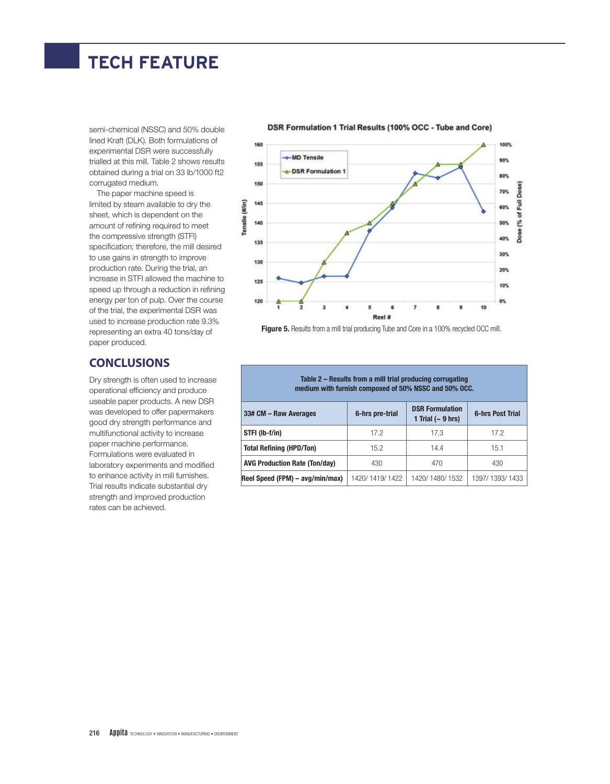semi-chemical (NSSC) and 50% double lined Kraft (DLK). Both formulations of experimental DSR were successfully trialled at this mill. Table 2 shows results obtained during a trial on 33 lb/1000 ft2 corrugated medium.

The paper machine speed is limited by steam available to dry the sheet, which is dependent on the amount of refining required to meet the compressive strength (STFI) specification; therefore, the mill desired to use gains in strength to improve production rate. During the trial, an increase in STFI allowed the machine to speed up through a reduction in refining energy per ton of pulp. Over the course of the trial, the experimental DSR was used to increase production rate 9.3% representing an extra 40 tons/day of paper produced.

125

120

#### **CONCLUSIONS**

Dry strength is often used to increase operational efficiency and produce useable paper products. A new DSR was developed to offer papermakers good dry strength performance and multifunctional activity to increase paper machine performance. Formulations were evaluated in laboratory experiments and modified to enhance activity in mill furnishes. Trial results indicate substantial dry strength and improved production rates can be achieved.

#### 160 100% MD Tensile 90% 155 DSR Formulation 1 80% 150 70% 145 Tenslie (#/in) 60% 140 50% 40% 135 30% 130 20%

Dose

Ē

(% of

Dose

10%

0%

10

ġ

**Figure 5.** Results from a mill trial producing Tube and Core in a 100% recycled OCC mill.

Reel #

6

 $\overline{\mathbf{3}}$ 

4

**Table 2 – Results from a mill trial producing corrugating** 

| medium with furnish composed of 50% NSSC and 50% OCC. |  |  |  |  |  |
|-------------------------------------------------------|--|--|--|--|--|
|-------------------------------------------------------|--|--|--|--|--|

| 33# CM - Raw Averages                | 6-hrs pre-trial | <b>DSR Formulation</b><br>1 Trial $(-9$ hrs) | <b>6-hrs Post Trial</b> |  |  |  |  |
|--------------------------------------|-----------------|----------------------------------------------|-------------------------|--|--|--|--|
| STFI (lb-f/in)                       | 17.2            | 17.3                                         | 17.2                    |  |  |  |  |
| <b>Total Refining (HPD/Ton)</b>      | 15.2            | 14.4                                         | 15.1                    |  |  |  |  |
| <b>AVG Production Rate (Ton/day)</b> | 430             | 470                                          | 430                     |  |  |  |  |
| Reel Speed (FPM) – avg/min/max)      | 1420/1419/1422  | 1420/1480/1532                               | 1397/1393/1433          |  |  |  |  |